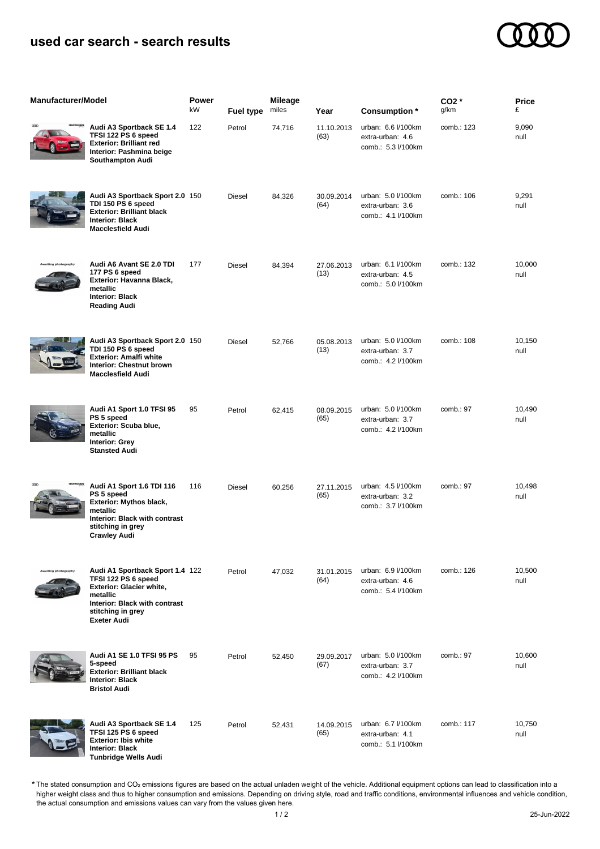## **used car search - search results**



| <b>Manufacturer/Model</b> |                                                                                                                                                                            | Power<br>kW | <b>Fuel type</b> | <b>Mileage</b><br>miles | Year               | Consumption *                                                | $CO2*$<br>g/km | Price<br>£     |
|---------------------------|----------------------------------------------------------------------------------------------------------------------------------------------------------------------------|-------------|------------------|-------------------------|--------------------|--------------------------------------------------------------|----------------|----------------|
| œœ                        | Audi A3 Sportback SE 1.4<br>TFSI 122 PS 6 speed<br><b>Exterior: Brilliant red</b><br>Interior: Pashmina beige<br>Southampton Audi                                          | 122         | Petrol           | 74,716                  | 11.10.2013<br>(63) | urban: 6.6 l/100km<br>extra-urban: 4.6<br>comb.: 5.3 l/100km | comb.: 123     | 9,090<br>null  |
|                           | Audi A3 Sportback Sport 2.0 150<br>TDI 150 PS 6 speed<br><b>Exterior: Brilliant black</b><br><b>Interior: Black</b><br><b>Macclesfield Audi</b>                            |             | Diesel           | 84,326                  | 30.09.2014<br>(64) | urban: 5.0 l/100km<br>extra-urban: 3.6<br>comb.: 4.1 l/100km | comb.: 106     | 9,291<br>null  |
| ng photography            | Audi A6 Avant SE 2.0 TDI<br>177 PS 6 speed<br>Exterior: Havanna Black,<br>metallic<br><b>Interior: Black</b><br><b>Reading Audi</b>                                        | 177         | Diesel           | 84,394                  | 27.06.2013<br>(13) | urban: 6.1 l/100km<br>extra-urban: 4.5<br>comb.: 5.0 l/100km | comb.: 132     | 10,000<br>null |
|                           | Audi A3 Sportback Sport 2.0 150<br>TDI 150 PS 6 speed<br><b>Exterior: Amalfi white</b><br>Interior: Chestnut brown<br><b>Macclesfield Audi</b>                             |             | Diesel           | 52,766                  | 05.08.2013<br>(13) | urban: 5.0 l/100km<br>extra-urban: 3.7<br>comb.: 4.2 l/100km | comb.: 108     | 10,150<br>null |
|                           | Audi A1 Sport 1.0 TFSI 95<br>PS 5 speed<br>Exterior: Scuba blue,<br>metallic<br><b>Interior: Grey</b><br><b>Stansted Audi</b>                                              | 95          | Petrol           | 62,415                  | 08.09.2015<br>(65) | urban: 5.0 l/100km<br>extra-urban: 3.7<br>comb.: 4.2 l/100km | comb.: 97      | 10,490<br>null |
|                           | Audi A1 Sport 1.6 TDI 116<br>PS 5 speed<br><b>Exterior: Mythos black,</b><br>metallic<br>Interior: Black with contrast<br>stitching in grey<br><b>Crawley Audi</b>         | 116         | Diesel           | 60,256                  | 27.11.2015<br>(65) | urban: 4.5 l/100km<br>extra-urban: 3.2<br>comb.: 3.7 l/100km | comb. : 97     | 10,498<br>null |
| aiting photography        | Audi A1 Sportback Sport 1.4 122<br>TFSI 122 PS 6 speed<br>Exterior: Glacier white,<br>metallic<br>Interior: Black with contrast<br>stitching in grey<br><b>Exeter Audi</b> |             | Petrol           | 47,032                  | 31.01.2015<br>(64) | urban: 6.9 l/100km<br>extra-urban: 4.6<br>comb.: 5.4 l/100km | comb.: 126     | 10,500<br>null |
|                           | Audi A1 SE 1.0 TFSI 95 PS<br>5-speed<br><b>Exterior: Brilliant black</b><br><b>Interior: Black</b><br><b>Bristol Audi</b>                                                  | 95          | Petrol           | 52,450                  | 29.09.2017<br>(67) | urban: 5.0 l/100km<br>extra-urban: 3.7<br>comb.: 4.2 l/100km | comb.: 97      | 10,600<br>null |
|                           | Audi A3 Sportback SE 1.4<br>TFSI 125 PS 6 speed<br><b>Exterior: Ibis white</b><br>ntoriar: Diaek                                                                           | 125         | Petrol           | 52,431                  | 14.09.2015<br>(65) | urban: 6.7 l/100km<br>extra-urban: 4.1<br>comb.: 5.1 l/100km | comb.: 117     | 10,750<br>null |

**Interior: Black Tunbridge Wells Audi**

The stated consumption and CO₂ emissions figures are based on the actual unladen weight of the vehicle. Additional equipment options can lead to classification into a higher weight class and thus to higher consumption and emissions. Depending on driving style, road and traffic conditions, environmental influences and vehicle condition, the actual consumption and emissions values can vary from the values given here. \*